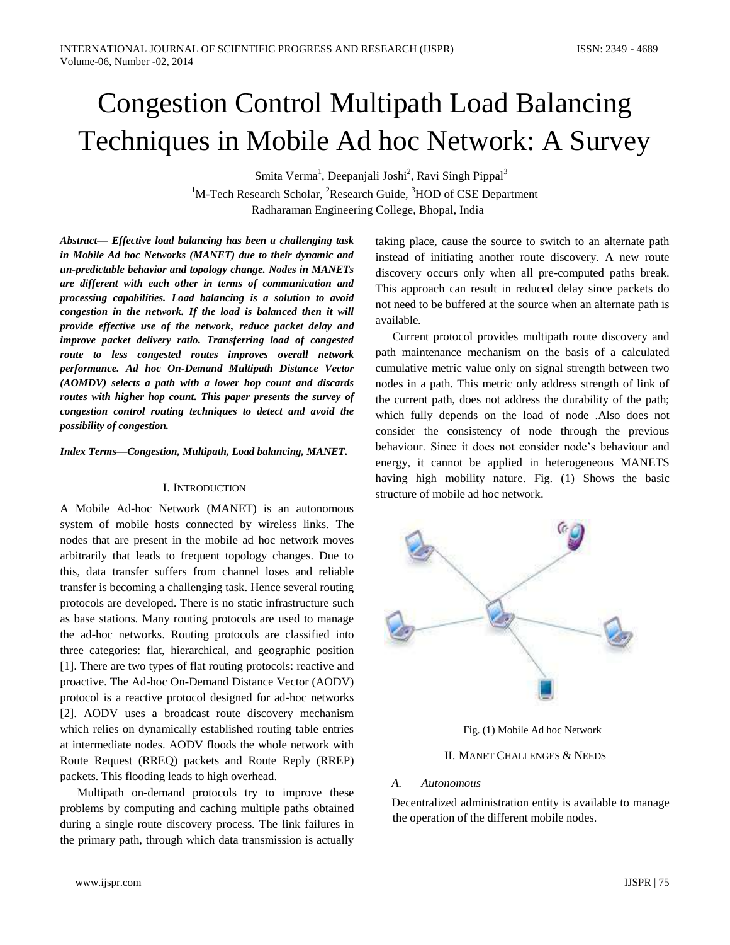# Congestion Control Multipath Load Balancing Techniques in Mobile Ad hoc Network: A Survey

Smita Verma<sup>1</sup>, Deepanjali Joshi<sup>2</sup>, Ravi Singh Pippal<sup>3</sup>  $1^1$ M-Tech Research Scholar, <sup>2</sup>Research Guide,  $3^1$ HOD of CSE Department Radharaman Engineering College, Bhopal, India

*Abstract— Effective load balancing has been a challenging task in Mobile Ad hoc Networks (MANET) due to their dynamic and un-predictable behavior and topology change. Nodes in MANETs are different with each other in terms of communication and processing capabilities. Load balancing is a solution to avoid congestion in the network. If the load is balanced then it will provide effective use of the network, reduce packet delay and improve packet delivery ratio. Transferring load of congested route to less congested routes improves overall network performance. Ad hoc On-Demand Multipath Distance Vector (AOMDV) selects a path with a lower hop count and discards routes with higher hop count. This paper presents the survey of congestion control routing techniques to detect and avoid the possibility of congestion.* 

*Index Terms—Congestion, Multipath, Load balancing, MANET.*

#### I. INTRODUCTION

A Mobile Ad-hoc Network (MANET) is an autonomous system of mobile hosts connected by wireless links. The nodes that are present in the mobile ad hoc network moves arbitrarily that leads to frequent topology changes. Due to this, data transfer suffers from channel loses and reliable transfer is becoming a challenging task. Hence several routing protocols are developed. There is no static infrastructure such as base stations. Many routing protocols are used to manage the ad-hoc networks. Routing protocols are classified into three categories: flat, hierarchical, and geographic position [1]. There are two types of flat routing protocols: reactive and proactive. The Ad-hoc On-Demand Distance Vector (AODV) protocol is a reactive protocol designed for ad-hoc networks [2]. AODV uses a broadcast route discovery mechanism which relies on dynamically established routing table entries at intermediate nodes. AODV floods the whole network with Route Request (RREQ) packets and Route Reply (RREP) packets. This flooding leads to high overhead.

Multipath on-demand protocols try to improve these problems by computing and caching multiple paths obtained during a single route discovery process. The link failures in the primary path, through which data transmission is actually taking place, cause the source to switch to an alternate path instead of initiating another route discovery. A new route discovery occurs only when all pre-computed paths break. This approach can result in reduced delay since packets do not need to be buffered at the source when an alternate path is available.

Current protocol provides multipath route discovery and path maintenance mechanism on the basis of a calculated cumulative metric value only on signal strength between two nodes in a path. This metric only address strength of link of the current path, does not address the durability of the path; which fully depends on the load of node .Also does not consider the consistency of node through the previous behaviour. Since it does not consider node's behaviour and energy, it cannot be applied in heterogeneous MANETS having high mobility nature. Fig. (1) Shows the basic structure of mobile ad hoc network.



Fig. (1) Mobile Ad hoc Network

#### II. MANET CHALLENGES & NEEDS

#### *A. Autonomous*

Decentralized administration entity is available to manage the operation of the different mobile nodes.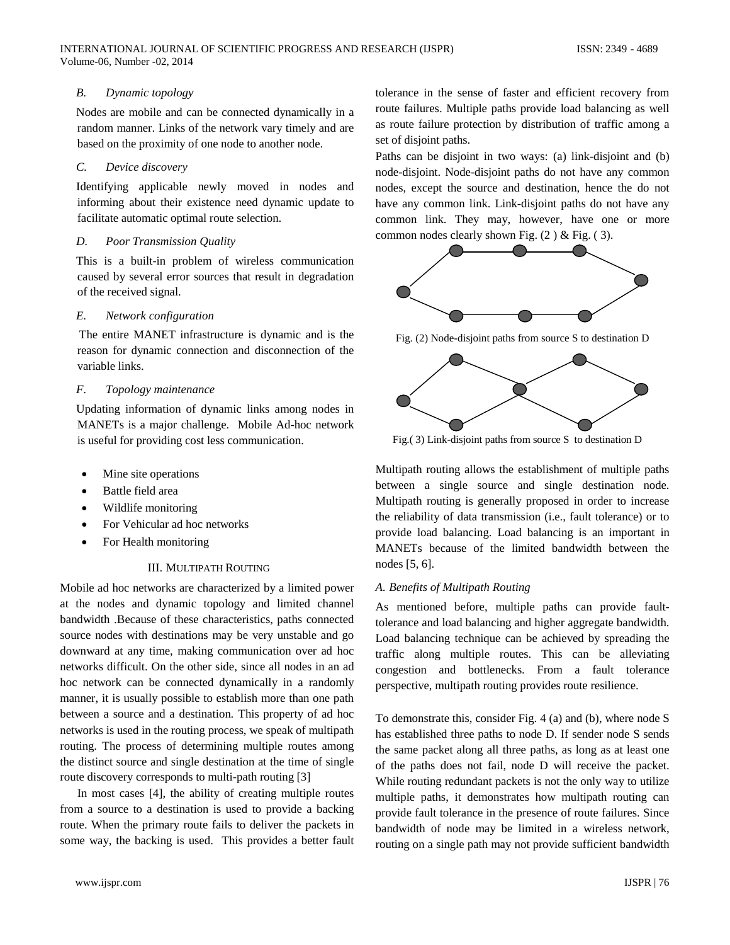### *B. Dynamic topology*

Nodes are mobile and can be connected dynamically in a random manner. Links of the network vary timely and are based on the proximity of one node to another node.

#### *C. Device discovery*

Identifying applicable newly moved in nodes and informing about their existence need dynamic update to facilitate automatic optimal route selection.

#### *D. Poor Transmission Quality*

This is a built-in problem of wireless communication caused by several error sources that result in degradation of the received signal.

#### *E. Network configuration*

The entire MANET infrastructure is dynamic and is the reason for dynamic connection and disconnection of the variable links.

#### *F. Topology maintenance*

Updating information of dynamic links among nodes in MANETs is a major challenge. Mobile Ad-hoc network is useful for providing cost less communication.

- Mine site operations
- Battle field area
- Wildlife monitoring
- For Vehicular ad hoc networks
- For Health monitoring

#### III. MULTIPATH ROUTING

Mobile ad hoc networks are characterized by a limited power at the nodes and dynamic topology and limited channel bandwidth .Because of these characteristics, paths connected source nodes with destinations may be very unstable and go downward at any time, making communication over ad hoc networks difficult. On the other side, since all nodes in an ad hoc network can be connected dynamically in a randomly manner, it is usually possible to establish more than one path between a source and a destination. This property of ad hoc networks is used in the routing process, we speak of multipath routing. The process of determining multiple routes among the distinct source and single destination at the time of single route discovery corresponds to multi-path routing [3]

In most cases [4], the ability of creating multiple routes from a source to a destination is used to provide a backing route. When the primary route fails to deliver the packets in some way, the backing is used. This provides a better fault tolerance in the sense of faster and efficient recovery from route failures. Multiple paths provide load balancing as well as route failure protection by distribution of traffic among a set of disjoint paths.

Paths can be disjoint in two ways: (a) link-disjoint and (b) node-disjoint. Node-disjoint paths do not have any common nodes, except the source and destination, hence the do not have any common link. Link-disjoint paths do not have any common link. They may, however, have one or more common nodes clearly shown Fig.  $(2)$  & Fig.  $(3)$ .



Fig. (2) Node-disjoint paths from source S to destination D



Fig.( 3) Link-disjoint paths from source S to destination D

Multipath routing allows the establishment of multiple paths between a single source and single destination node. Multipath routing is generally proposed in order to increase the reliability of data transmission (i.e., fault tolerance) or to provide load balancing. Load balancing is an important in MANETs because of the limited bandwidth between the nodes [5, 6].

#### *A. Benefits of Multipath Routing*

As mentioned before, multiple paths can provide faulttolerance and load balancing and higher aggregate bandwidth. Load balancing technique can be achieved by spreading the traffic along multiple routes. This can be alleviating congestion and bottlenecks. From a fault tolerance perspective, multipath routing provides route resilience.

To demonstrate this, consider Fig. 4 (a) and (b), where node S has established three paths to node D. If sender node S sends the same packet along all three paths, as long as at least one of the paths does not fail, node D will receive the packet. While routing redundant packets is not the only way to utilize multiple paths, it demonstrates how multipath routing can provide fault tolerance in the presence of route failures. Since bandwidth of node may be limited in a wireless network, routing on a single path may not provide sufficient bandwidth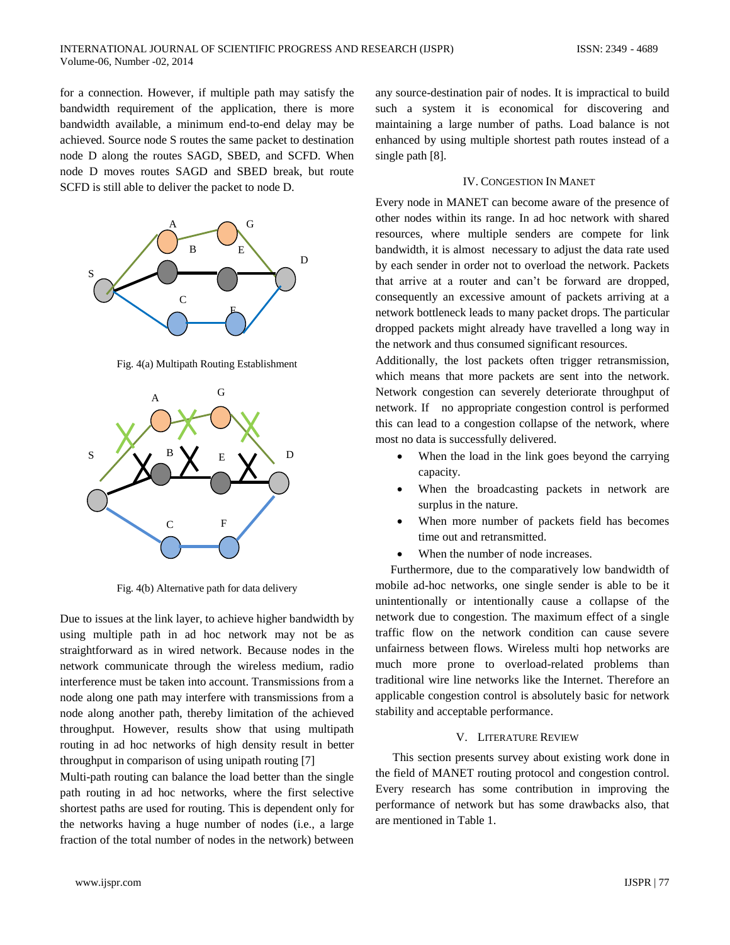for a connection. However, if multiple path may satisfy the bandwidth requirement of the application, there is more bandwidth available, a minimum end-to-end delay may be achieved. Source node S routes the same packet to destination node D along the routes SAGD, SBED, and SCFD. When node D moves routes SAGD and SBED break, but route SCFD is still able to deliver the packet to node D.



Fig. 4(a) Multipath Routing Establishment



Fig. 4(b) Alternative path for data delivery

Due to issues at the link layer, to achieve higher bandwidth by using multiple path in ad hoc network may not be as straightforward as in wired network. Because nodes in the network communicate through the wireless medium, radio interference must be taken into account. Transmissions from a node along one path may interfere with transmissions from a node along another path, thereby limitation of the achieved throughput. However, results show that using multipath routing in ad hoc networks of high density result in better throughput in comparison of using unipath routing [7]

Multi-path routing can balance the load better than the single path routing in ad hoc networks, where the first selective shortest paths are used for routing. This is dependent only for the networks having a huge number of nodes (i.e., a large fraction of the total number of nodes in the network) between

any source-destination pair of nodes. It is impractical to build such a system it is economical for discovering and maintaining a large number of paths. Load balance is not enhanced by using multiple shortest path routes instead of a single path [8].

#### IV. CONGESTION IN MANET

Every node in MANET can become aware of the presence of other nodes within its range. In ad hoc network with shared resources, where multiple senders are compete for link bandwidth, it is almost necessary to adjust the data rate used by each sender in order not to overload the network. Packets that arrive at a router and can't be forward are dropped, consequently an excessive amount of packets arriving at a network bottleneck leads to many packet drops. The particular dropped packets might already have travelled a long way in the network and thus consumed significant resources.

Additionally, the lost packets often trigger retransmission, which means that more packets are sent into the network. Network congestion can severely deteriorate throughput of network. If no appropriate congestion control is performed this can lead to a congestion collapse of the network, where most no data is successfully delivered.

- When the load in the link goes beyond the carrying capacity.
- When the broadcasting packets in network are surplus in the nature.
- When more number of packets field has becomes time out and retransmitted.
- When the number of node increases.

 Furthermore, due to the comparatively low bandwidth of mobile ad-hoc networks, one single sender is able to be it unintentionally or intentionally cause a collapse of the network due to congestion. The maximum effect of a single traffic flow on the network condition can cause severe unfairness between flows. Wireless multi hop networks are much more prone to overload-related problems than traditional wire line networks like the Internet. Therefore an applicable congestion control is absolutely basic for network stability and acceptable performance.

#### V. LITERATURE REVIEW

This section presents survey about existing work done in the field of MANET routing protocol and congestion control. Every research has some contribution in improving the performance of network but has some drawbacks also, that are mentioned in Table 1.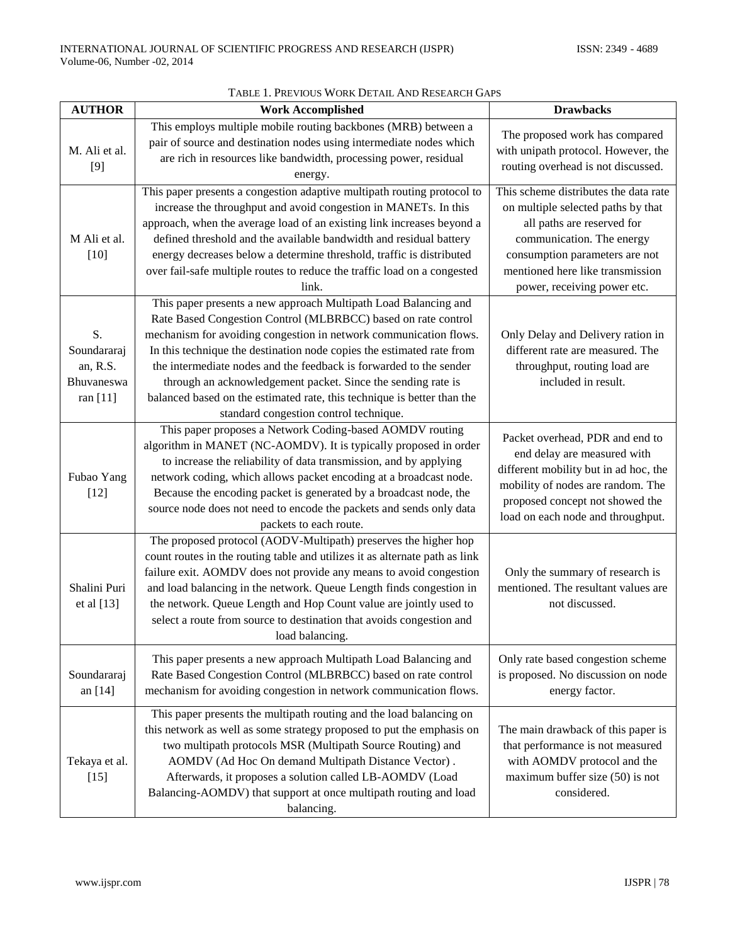| <b>AUTHOR</b>                                           | <b>Work Accomplished</b>                                                                                                                                                                                                                                                                                                                                                                                                                                                                                                                  | <b>Drawbacks</b>                                                                                                                                                                                                                            |
|---------------------------------------------------------|-------------------------------------------------------------------------------------------------------------------------------------------------------------------------------------------------------------------------------------------------------------------------------------------------------------------------------------------------------------------------------------------------------------------------------------------------------------------------------------------------------------------------------------------|---------------------------------------------------------------------------------------------------------------------------------------------------------------------------------------------------------------------------------------------|
| M. Ali et al.<br>[9]                                    | This employs multiple mobile routing backbones (MRB) between a<br>pair of source and destination nodes using intermediate nodes which<br>are rich in resources like bandwidth, processing power, residual<br>energy.                                                                                                                                                                                                                                                                                                                      | The proposed work has compared<br>with unipath protocol. However, the<br>routing overhead is not discussed.                                                                                                                                 |
| M Ali et al.<br>$[10]$                                  | This paper presents a congestion adaptive multipath routing protocol to<br>increase the throughput and avoid congestion in MANETs. In this<br>approach, when the average load of an existing link increases beyond a<br>defined threshold and the available bandwidth and residual battery<br>energy decreases below a determine threshold, traffic is distributed<br>over fail-safe multiple routes to reduce the traffic load on a congested<br>link.                                                                                   | This scheme distributes the data rate<br>on multiple selected paths by that<br>all paths are reserved for<br>communication. The energy<br>consumption parameters are not<br>mentioned here like transmission<br>power, receiving power etc. |
| S.<br>Soundararaj<br>an, R.S.<br>Bhuvaneswa<br>ran [11] | This paper presents a new approach Multipath Load Balancing and<br>Rate Based Congestion Control (MLBRBCC) based on rate control<br>mechanism for avoiding congestion in network communication flows.<br>In this technique the destination node copies the estimated rate from<br>the intermediate nodes and the feedback is forwarded to the sender<br>through an acknowledgement packet. Since the sending rate is<br>balanced based on the estimated rate, this technique is better than the<br>standard congestion control technique. | Only Delay and Delivery ration in<br>different rate are measured. The<br>throughput, routing load are<br>included in result.                                                                                                                |
| Fubao Yang<br>$[12]$                                    | This paper proposes a Network Coding-based AOMDV routing<br>algorithm in MANET (NC-AOMDV). It is typically proposed in order<br>to increase the reliability of data transmission, and by applying<br>network coding, which allows packet encoding at a broadcast node.<br>Because the encoding packet is generated by a broadcast node, the<br>source node does not need to encode the packets and sends only data<br>packets to each route.                                                                                              | Packet overhead, PDR and end to<br>end delay are measured with<br>different mobility but in ad hoc, the<br>mobility of nodes are random. The<br>proposed concept not showed the<br>load on each node and throughput.                        |
| Shalini Puri<br>et al [13]                              | The proposed protocol (AODV-Multipath) preserves the higher hop<br>count routes in the routing table and utilizes it as alternate path as link<br>failure exit. AOMDV does not provide any means to avoid congestion<br>and load balancing in the network. Queue Length finds congestion in<br>the network. Queue Length and Hop Count value are jointly used to<br>select a route from source to destination that avoids congestion and<br>load balancing.                                                                               | Only the summary of research is<br>mentioned. The resultant values are<br>not discussed.                                                                                                                                                    |
| Soundararaj<br>an [14]                                  | This paper presents a new approach Multipath Load Balancing and<br>Rate Based Congestion Control (MLBRBCC) based on rate control<br>mechanism for avoiding congestion in network communication flows.                                                                                                                                                                                                                                                                                                                                     | Only rate based congestion scheme<br>is proposed. No discussion on node<br>energy factor.                                                                                                                                                   |
| Tekaya et al.<br>$[15]$                                 | This paper presents the multipath routing and the load balancing on<br>this network as well as some strategy proposed to put the emphasis on<br>two multipath protocols MSR (Multipath Source Routing) and<br>AOMDV (Ad Hoc On demand Multipath Distance Vector).<br>Afterwards, it proposes a solution called LB-AOMDV (Load<br>Balancing-AOMDV) that support at once multipath routing and load<br>balancing.                                                                                                                           | The main drawback of this paper is<br>that performance is not measured<br>with AOMDV protocol and the<br>maximum buffer size $(50)$ is not<br>considered.                                                                                   |

## TABLE 1. PREVIOUS WORK DETAIL AND RESEARCH GAPS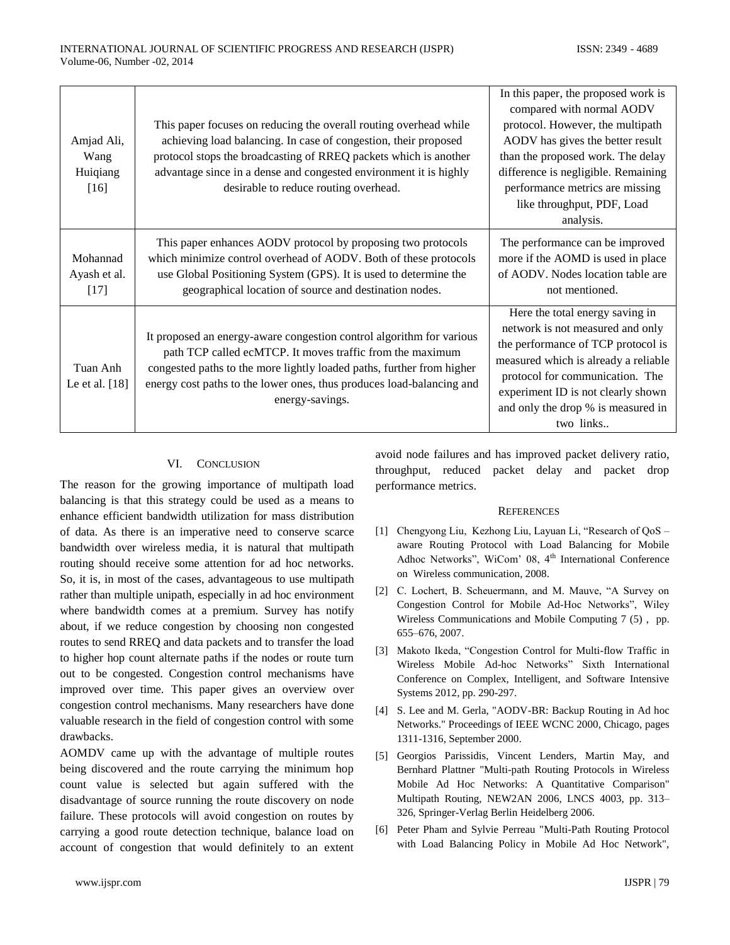| Amjad Ali,<br>Wang<br>Huiqiang<br>$[16]$ | This paper focuses on reducing the overall routing overhead while<br>achieving load balancing. In case of congestion, their proposed<br>protocol stops the broadcasting of RREQ packets which is another<br>advantage since in a dense and congested environment it is highly<br>desirable to reduce routing overhead. | In this paper, the proposed work is<br>compared with normal AODV<br>protocol. However, the multipath<br>AODV has gives the better result<br>than the proposed work. The delay<br>difference is negligible. Remaining<br>performance metrics are missing<br>like throughput, PDF, Load<br>analysis. |
|------------------------------------------|------------------------------------------------------------------------------------------------------------------------------------------------------------------------------------------------------------------------------------------------------------------------------------------------------------------------|----------------------------------------------------------------------------------------------------------------------------------------------------------------------------------------------------------------------------------------------------------------------------------------------------|
| Mohannad<br>Ayash et al.<br>$[17]$       | This paper enhances AODV protocol by proposing two protocols<br>which minimize control overhead of AODV. Both of these protocols<br>use Global Positioning System (GPS). It is used to determine the<br>geographical location of source and destination nodes.                                                         | The performance can be improved<br>more if the AOMD is used in place<br>of AODV. Nodes location table are<br>not mentioned.                                                                                                                                                                        |
| Tuan Anh<br>Le et al. $[18]$             | It proposed an energy-aware congestion control algorithm for various<br>path TCP called ecMTCP. It moves traffic from the maximum<br>congested paths to the more lightly loaded paths, further from higher<br>energy cost paths to the lower ones, thus produces load-balancing and<br>energy-savings.                 | Here the total energy saving in<br>network is not measured and only<br>the performance of TCP protocol is<br>measured which is already a reliable<br>protocol for communication. The<br>experiment ID is not clearly shown<br>and only the drop % is measured in<br>two links                      |

#### VI. CONCLUSION

The reason for the growing importance of multipath load balancing is that this strategy could be used as a means to enhance efficient bandwidth utilization for mass distribution of data. As there is an imperative need to conserve scarce bandwidth over wireless media, it is natural that multipath routing should receive some attention for ad hoc networks. So, it is, in most of the cases, advantageous to use multipath rather than multiple unipath, especially in ad hoc environment where bandwidth comes at a premium. Survey has notify about, if we reduce congestion by choosing non congested routes to send RREQ and data packets and to transfer the load to higher hop count alternate paths if the nodes or route turn out to be congested. Congestion control mechanisms have improved over time. This paper gives an overview over congestion control mechanisms. Many researchers have done valuable research in the field of congestion control with some drawbacks.

AOMDV came up with the advantage of multiple routes being discovered and the route carrying the minimum hop count value is selected but again suffered with the disadvantage of source running the route discovery on node failure. These protocols will avoid congestion on routes by carrying a good route detection technique, balance load on account of congestion that would definitely to an extent

avoid node failures and has improved packet delivery ratio, throughput, reduced packet delay and packet drop performance metrics.

#### **REFERENCES**

- [1] Chengyong Liu, Kezhong Liu, Layuan Li, "Research of QoS aware Routing Protocol with Load Balancing for Mobile Adhoc Networks", WiCom' 08, 4<sup>th</sup> International Conference on Wireless communication, 2008.
- [2] C. Lochert, B. Scheuermann, and M. Mauve, "A Survey on Congestion Control for Mobile Ad-Hoc Networks", Wiley Wireless Communications and Mobile Computing 7 (5) , pp. 655–676, 2007.
- [3] Makoto Ikeda, "Congestion Control for Multi-flow Traffic in Wireless Mobile Ad-hoc Networks" Sixth International Conference on Complex, Intelligent, and Software Intensive Systems 2012, pp. 290-297.
- [4] S. Lee and M. Gerla, "AODV-BR: Backup Routing in Ad hoc Networks." Proceedings of IEEE WCNC 2000, Chicago, pages 1311-1316, September 2000.
- [5] Georgios Parissidis, Vincent Lenders, Martin May, and Bernhard Plattner "Multi-path Routing Protocols in Wireless Mobile Ad Hoc Networks: A Quantitative Comparison" Multipath Routing, NEW2AN 2006, LNCS 4003, pp. 313– 326, Springer-Verlag Berlin Heidelberg 2006.
- [6] Peter Pham and Sylvie Perreau "Multi-Path Routing Protocol with Load Balancing Policy in Mobile Ad Hoc Network",